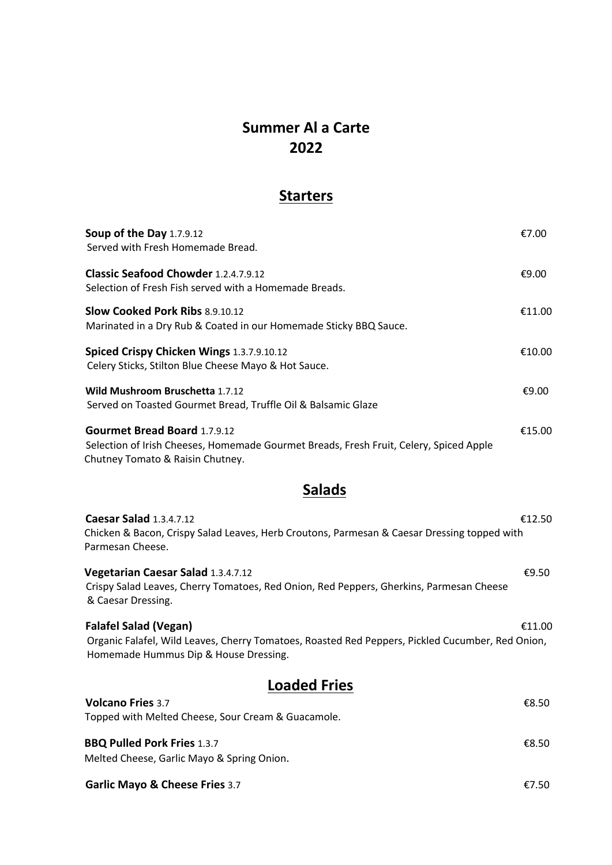## **Summer Al a Carte 2022**

### **Starters**

| Soup of the Day 1.7.9.12<br>Served with Fresh Homemade Bread.                                     |                                                                                        | €7.00  |
|---------------------------------------------------------------------------------------------------|----------------------------------------------------------------------------------------|--------|
| Classic Seafood Chowder 1.2.4.7.9.12<br>Selection of Fresh Fish served with a Homemade Breads.    |                                                                                        | €9.00  |
| <b>Slow Cooked Pork Ribs 8.9.10.12</b>                                                            | Marinated in a Dry Rub & Coated in our Homemade Sticky BBQ Sauce.                      | €11.00 |
| Spiced Crispy Chicken Wings 1.3.7.9.10.12<br>Celery Sticks, Stilton Blue Cheese Mayo & Hot Sauce. |                                                                                        | €10.00 |
| Wild Mushroom Bruschetta 1.7.12                                                                   | Served on Toasted Gourmet Bread, Truffle Oil & Balsamic Glaze                          | €9.00  |
| <b>Gourmet Bread Board 1.7.9.12</b><br>Chutney Tomato & Raisin Chutney.                           | Selection of Irish Cheeses, Homemade Gourmet Breads, Fresh Fruit, Celery, Spiced Apple | €15.00 |

### **Salads**

| <b>Caesar Salad 1.3.4.7.12</b><br>Chicken & Bacon, Crispy Salad Leaves, Herb Croutons, Parmesan & Caesar Dressing topped with<br>Parmesan Cheese.          | €12.50 |
|------------------------------------------------------------------------------------------------------------------------------------------------------------|--------|
| <b>Vegetarian Caesar Salad 1.3.4.7.12</b><br>Crispy Salad Leaves, Cherry Tomatoes, Red Onion, Red Peppers, Gherkins, Parmesan Cheese<br>& Caesar Dressing. | £9.50  |

 **Falafel Salad (Vegan)** €11.00 Organic Falafel, Wild Leaves, Cherry Tomatoes, Roasted Red Peppers, Pickled Cucumber, Red Onion, Homemade Hummus Dip & House Dressing.

| <b>Loaded Fries</b>                                |       |
|----------------------------------------------------|-------|
| <b>Volcano Fries 3.7</b>                           | €8.50 |
| Topped with Melted Cheese, Sour Cream & Guacamole. |       |
| <b>BBQ Pulled Pork Fries 1.3.7</b>                 | €8.50 |
| Melted Cheese, Garlic Mayo & Spring Onion.         |       |

**Garlic Mayo & Cheese Fries** 3.7 €7.50